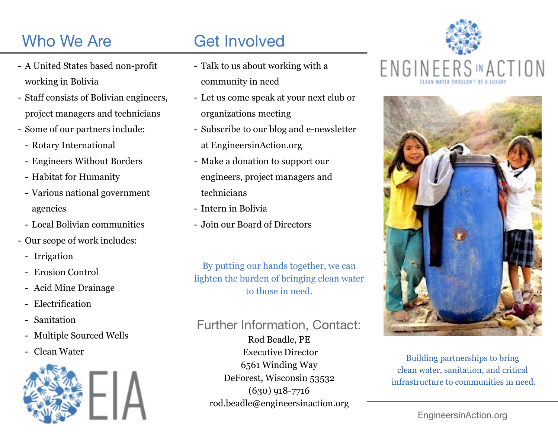## Who We Are

- A United States based non-profit working in Bolivia
- Staff consists of Bolivian engineers, project managers and technicians
- Some of our partners include:
	- Rotary International
	- Engineers Without Borders
	- Habitat for Humanity
	- Various national government agencies
	- Local Bolivian communities
- Our scope of work includes:
	- Irrigation
	- Erosion Control
	- Acid Mine Drainage
	- Electrification
	- Sanitation
	- Multiple Sourced Wells
	-



## Get Involved

- Talk to us about working with a community in need
- Let us come speak at your next club or organizations meeting
- Subscribe to our blog and e-newsletter at EngineersinAction.org
- Make a donation to support our engineers, project managers and technicians
- Intern in Bolivia
- Join our Board of Directors

By putting our hands together, we can lighten the burden of bringing clean water to those in need.

#### Further Information, Contact:

- Clean Water Executive Director Building partnerships to bring Rod Beadle, PE Executive Director 6561 Winding Way DeForest, Wisconsin 53532 (630) 918-7716 [rod.beadle@engineersinaction.org](mailto:rod.beadle@engineersinaction.org)





clean water, sanitation, and critical infrastructure to communities in need.